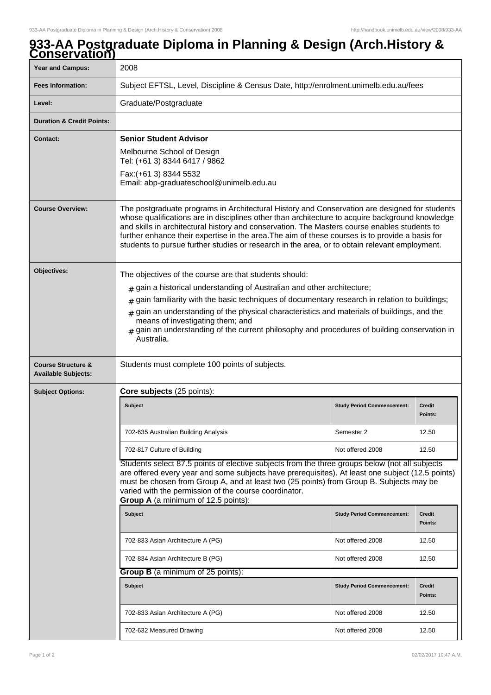## Year and Campus: 2008 **Fees Information:** [Subject EFTSL, Level, Discipline & Census Date, http://enrolment.unimelb.edu.au/fees](http://enrolment.unimelb.edu.au/fees) Level: Graduate/Postgraduate **Duration & Credit Points: Contact: Senior Student Advisor** Melbourne School of Design Tel: (+61 3) 8344 6417 / 9862 Fax:(+61 3) 8344 5532 Email: abp-graduateschool@unimelb.edu.au **Course Overview:** The postgraduate programs in Architectural History and Conservation are designed for students whose qualifications are in disciplines other than architecture to acquire background knowledge and skills in architectural history and conservation. The Masters course enables students to further enhance their expertise in the area.The aim of these courses is to provide a basis for students to pursue further studies or research in the area, or to obtain relevant employment. **Objectives:** The objectives of the course are that students should:  $_{\rm \#}$  gain a historical understanding of Australian and other architecture;  $_{\rm \#}$  gain familiarity with the basic techniques of documentary research in relation to buildings;  $_{\rm \#}$  gain an understanding of the physical characteristics and materials of buildings, and the means of investigating them; and # gain an understanding of the current philosophy and procedures of building conservation in Australia. **Course Structure & Available Subjects:** Students must complete 100 points of subjects. **Subject Options: Core subjects** (25 points): **Subject Study Period Commencement: Credit Points:** 702-635 Australian Building Analysis New York 12.50 Semester 2 12.50 702-817 Culture of Building Not offered 2008 2008 12.50 Students select 87.5 points of elective subjects from the three groups below (not all subjects are offered every year and some subjects have prerequisites). At least one subject (12.5 points) must be chosen from Group A, and at least two (25 points) from Group B. Subjects may be varied with the permission of the course coordinator. **Group A** (a minimum of 12.5 points): **Subject Study Period Commencement: Credit Points:** 702-833 Asian Architecture A (PG) Not offered 2008 12.50 702-834 Asian Architecture B (PG) Not offered 2008 12.50 **Group B** (a minimum of 25 points): **Subject Study Period Commencement: Credit Points:** 702-833 Asian Architecture A (PG) Not offered 2008 12.50 702-632 Measured Drawing Note of the Not offered 2008 12.50

## **933-AA Postgraduate Diploma in Planning & Design (Arch.History & Conservation)**